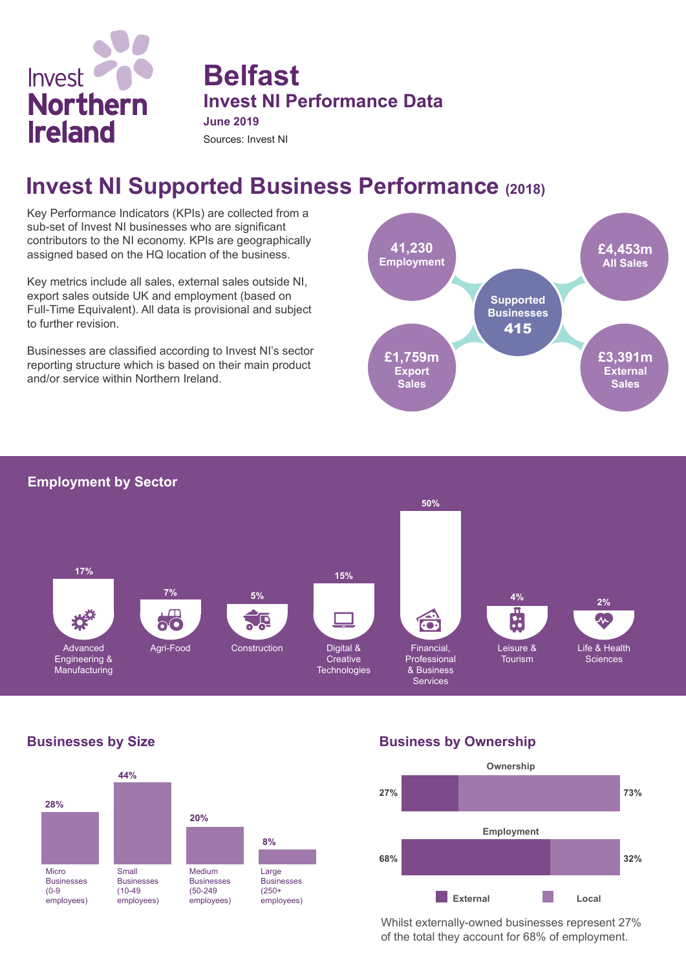

## **Belfast Invest NI Performance Data June 2019**

Sources: Invest NI

# **Invest NI Supported Business Performance (2018)**

Key Performance Indicators (KPIs) are collected from a sub-set of Invest NI businesses who are significant contributors to the NI economy. KPIs are geographically assigned based on the HQ location of the business.

Key metrics include all sales, external sales outside NI, export sales outside UK and employment (based on Full-Time Equivalent). All data is provisional and subject to further revision.

Businesses are classified according to Invest NI's sector reporting structure which is based on their main product and/or service within Northern Ireland.



#### **Employment by Sector**



### **Businesses by Size**



### **Business by Ownership**



Whilst externally-owned businesses represent 27% of the total they account for 68% of employment.